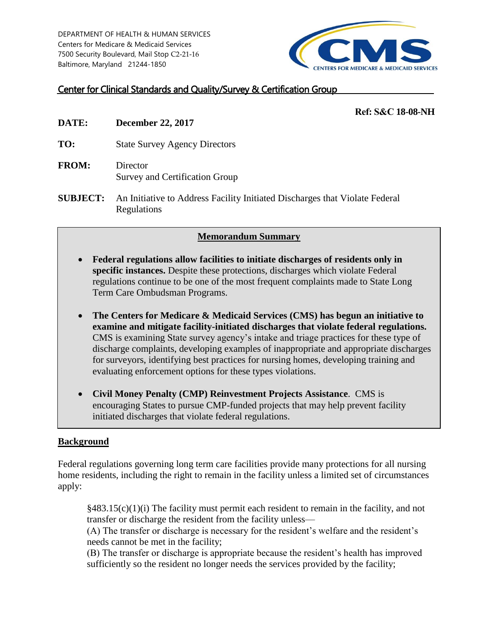DEPARTMENT OF HEALTH & HUMAN SERVICES Centers for Medicare & Medicaid Services 7500 Security Boulevard, Mail Stop C2-21-16 Baltimore, Maryland 21244-1850



# Center for Clinical Standards and Quality/Survey & Certification Group

### **Ref: S&C 18-08-NH**

- **DATE: December 22, 2017**
- **TO:** State Survey Agency Directors
- **FROM:** Director Survey and Certification Group
- **SUBJECT:** An Initiative to Address Facility Initiated Discharges that Violate Federal Regulations

#### **Memorandum Summary**

- **Federal regulations allow facilities to initiate discharges of residents only in specific instances.** Despite these protections, discharges which violate Federal regulations continue to be one of the most frequent complaints made to State Long Term Care Ombudsman Programs.
- **The Centers for Medicare & Medicaid Services (CMS) has begun an initiative to examine and mitigate facility-initiated discharges that violate federal regulations.**  CMS is examining State survey agency's intake and triage practices for these type of discharge complaints, developing examples of inappropriate and appropriate discharges for surveyors, identifying best practices for nursing homes, developing training and evaluating enforcement options for these types violations.
- **Civil Money Penalty (CMP) Reinvestment Projects Assistance**. CMS is encouraging States to pursue CMP-funded projects that may help prevent facility initiated discharges that violate federal regulations.

## **Background**

Federal regulations governing long term care facilities provide many protections for all nursing home residents, including the right to remain in the facility unless a limited set of circumstances apply:

 $§483.15(c)(1)(i)$  The facility must permit each resident to remain in the facility, and not transfer or discharge the resident from the facility unless—

(A) The transfer or discharge is necessary for the resident's welfare and the resident's needs cannot be met in the facility;

(B) The transfer or discharge is appropriate because the resident's health has improved sufficiently so the resident no longer needs the services provided by the facility;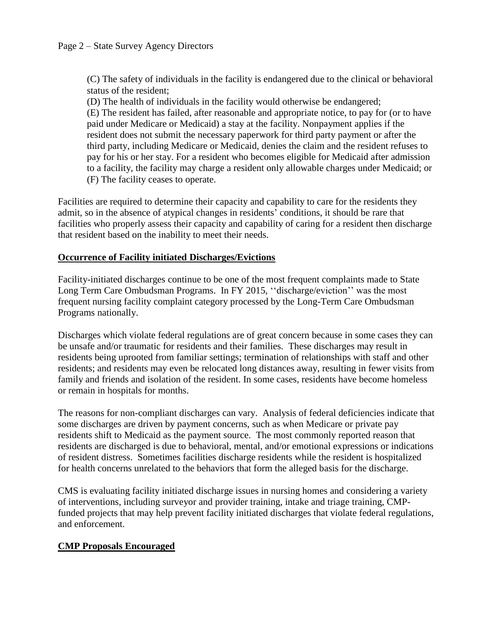(C) The safety of individuals in the facility is endangered due to the clinical or behavioral status of the resident;

(D) The health of individuals in the facility would otherwise be endangered; (E) The resident has failed, after reasonable and appropriate notice, to pay for (or to have paid under Medicare or Medicaid) a stay at the facility. Nonpayment applies if the resident does not submit the necessary paperwork for third party payment or after the third party, including Medicare or Medicaid, denies the claim and the resident refuses to pay for his or her stay. For a resident who becomes eligible for Medicaid after admission to a facility, the facility may charge a resident only allowable charges under Medicaid; or (F) The facility ceases to operate.

Facilities are required to determine their capacity and capability to care for the residents they admit, so in the absence of atypical changes in residents' conditions, it should be rare that facilities who properly assess their capacity and capability of caring for a resident then discharge that resident based on the inability to meet their needs.

#### **Occurrence of Facility initiated Discharges/Evictions**

Facility-initiated discharges continue to be one of the most frequent complaints made to State Long Term Care Ombudsman Programs. In FY 2015, ''discharge/eviction'' was the most frequent nursing facility complaint category processed by the Long-Term Care Ombudsman Programs nationally.

Discharges which violate federal regulations are of great concern because in some cases they can be unsafe and/or traumatic for residents and their families. These discharges may result in residents being uprooted from familiar settings; termination of relationships with staff and other residents; and residents may even be relocated long distances away, resulting in fewer visits from family and friends and isolation of the resident. In some cases, residents have become homeless or remain in hospitals for months.

The reasons for non-compliant discharges can vary. Analysis of federal deficiencies indicate that some discharges are driven by payment concerns, such as when Medicare or private pay residents shift to Medicaid as the payment source. The most commonly reported reason that residents are discharged is due to behavioral, mental, and/or emotional expressions or indications of resident distress. Sometimes facilities discharge residents while the resident is hospitalized for health concerns unrelated to the behaviors that form the alleged basis for the discharge.

CMS is evaluating facility initiated discharge issues in nursing homes and considering a variety of interventions, including surveyor and provider training, intake and triage training, CMPfunded projects that may help prevent facility initiated discharges that violate federal regulations, and enforcement.

#### **CMP Proposals Encouraged**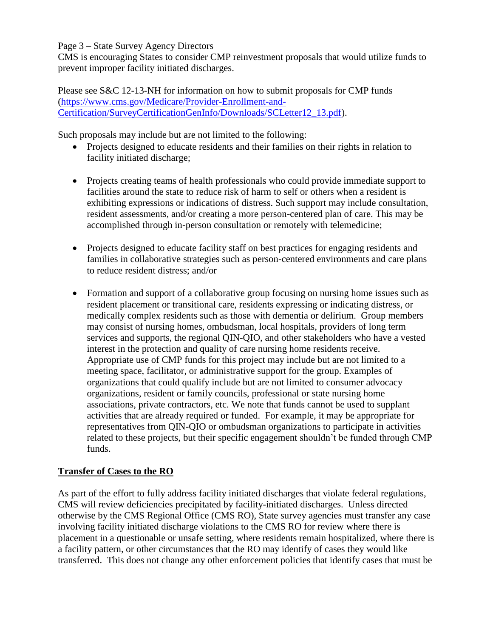Page 3 – State Survey Agency Directors

CMS is encouraging States to consider CMP reinvestment proposals that would utilize funds to prevent improper facility initiated discharges.

Please see S&C 12-13-NH for information on how to submit proposals for CMP funds [\(https://www.cms.gov/Medicare/Provider-Enrollment-and-](https://www.cms.gov/Medicare/Provider-Enrollment-and-Certification/SurveyCertificationGenInfo/Downloads/SCLetter12_13.pdf)[Certification/SurveyCertificationGenInfo/Downloads/SCLetter12\\_13.pdf\)](https://www.cms.gov/Medicare/Provider-Enrollment-and-Certification/SurveyCertificationGenInfo/Downloads/SCLetter12_13.pdf).

Such proposals may include but are not limited to the following:

- Projects designed to educate residents and their families on their rights in relation to facility initiated discharge;
- Projects creating teams of health professionals who could provide immediate support to facilities around the state to reduce risk of harm to self or others when a resident is exhibiting expressions or indications of distress. Such support may include consultation, resident assessments, and/or creating a more person-centered plan of care. This may be accomplished through in-person consultation or remotely with telemedicine;
- Projects designed to educate facility staff on best practices for engaging residents and families in collaborative strategies such as person-centered environments and care plans to reduce resident distress; and/or
- Formation and support of a collaborative group focusing on nursing home issues such as resident placement or transitional care, residents expressing or indicating distress, or medically complex residents such as those with dementia or delirium. Group members may consist of nursing homes, ombudsman, local hospitals, providers of long term services and supports, the regional QIN-QIO, and other stakeholders who have a vested interest in the protection and quality of care nursing home residents receive. Appropriate use of CMP funds for this project may include but are not limited to a meeting space, facilitator, or administrative support for the group. Examples of organizations that could qualify include but are not limited to consumer advocacy organizations, resident or family councils, professional or state nursing home associations, private contractors, etc. We note that funds cannot be used to supplant activities that are already required or funded. For example, it may be appropriate for representatives from QIN-QIO or ombudsman organizations to participate in activities related to these projects, but their specific engagement shouldn't be funded through CMP funds.

# **Transfer of Cases to the RO**

As part of the effort to fully address facility initiated discharges that violate federal regulations, CMS will review deficiencies precipitated by facility-initiated discharges. Unless directed otherwise by the CMS Regional Office (CMS RO), State survey agencies must transfer any case involving facility initiated discharge violations to the CMS RO for review where there is placement in a questionable or unsafe setting, where residents remain hospitalized, where there is a facility pattern, or other circumstances that the RO may identify of cases they would like transferred. This does not change any other enforcement policies that identify cases that must be